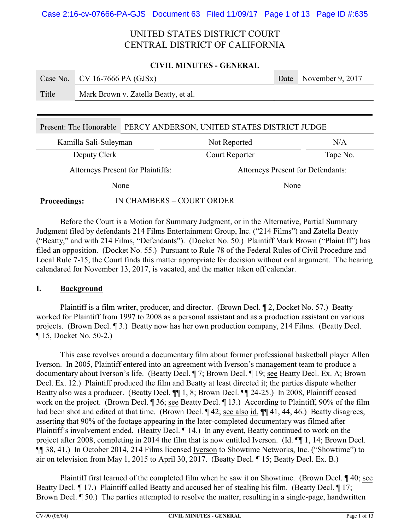#### **CIVIL MINUTES - GENERAL**

|       | Case No. $\vert$ CV 16-7666 PA (GJSx) | Date November 9, 2017 |
|-------|---------------------------------------|-----------------------|
| Title | Mark Brown v. Zatella Beatty, et al.  |                       |

### Present: The Honorable PERCY ANDERSON, UNITED STATES DISTRICT JUDGE

| Kamilla Sali-Suleyman                    | Not Reported   | N/A                                      |  |
|------------------------------------------|----------------|------------------------------------------|--|
| Deputy Clerk                             | Court Reporter | Tape No.                                 |  |
| <b>Attorneys Present for Plaintiffs:</b> |                | <b>Attorneys Present for Defendants:</b> |  |
| None                                     |                | None                                     |  |

### **Proceedings:** IN CHAMBERS – COURT ORDER

Before the Court is a Motion for Summary Judgment, or in the Alternative, Partial Summary Judgment filed by defendants 214 Films Entertainment Group, Inc. ("214 Films") and Zatella Beatty ("Beatty," and with 214 Films, "Defendants"). (Docket No. 50.) Plaintiff Mark Brown ("Plaintiff") has filed an opposition. (Docket No. 55.) Pursuant to Rule 78 of the Federal Rules of Civil Procedure and Local Rule 7-15, the Court finds this matter appropriate for decision without oral argument. The hearing calendared for November 13, 2017, is vacated, and the matter taken off calendar.

### **I. Background**

Plaintiff is a film writer, producer, and director. (Brown Decl. ¶ 2, Docket No. 57.) Beatty worked for Plaintiff from 1997 to 2008 as a personal assistant and as a production assistant on various projects. (Brown Decl. ¶ 3.) Beatty now has her own production company, 214 Films. (Beatty Decl. ¶ 15, Docket No. 50-2.)

This case revolves around a documentary film about former professional basketball player Allen Iverson. In 2005, Plaintiff entered into an agreement with Iverson's management team to produce a documentary about Iverson's life. (Beatty Decl. ¶ 7; Brown Decl. ¶ 19; see Beatty Decl. Ex. A; Brown Decl. Ex. 12.) Plaintiff produced the film and Beatty at least directed it; the parties dispute whether Beatty also was a producer. (Beatty Decl.  $\P$  1, 8; Brown Decl.  $\P$  24-25.) In 2008, Plaintiff ceased work on the project. (Brown Decl. ¶ 36; see Beatty Decl. ¶ 13.) According to Plaintiff, 90% of the film had been shot and edited at that time. (Brown Decl. ¶ 42; see also id. ¶ [[ 41, 44, 46.) Beatty disagrees, asserting that 90% of the footage appearing in the later-completed documentary was filmed after Plaintiff's involvement ended. (Beatty Decl. ¶ 14.) In any event, Beatty continued to work on the project after 2008, completing in 2014 the film that is now entitled Iverson. (Id. ¶¶ 1, 14; Brown Decl. ¶¶ 38, 41.) In October 2014, 214 Films licensed Iverson to Showtime Networks, Inc. ("Showtime") to air on television from May 1, 2015 to April 30, 2017. (Beatty Decl. ¶ 15; Beatty Decl. Ex. B.)

Plaintiff first learned of the completed film when he saw it on Showtime. (Brown Decl. ¶ 40; see Beatty Decl.  $\P$  17.) Plaintiff called Beatty and accused her of stealing his film. (Beatty Decl.  $\P$  17; Brown Decl. ¶ 50.) The parties attempted to resolve the matter, resulting in a single-page, handwritten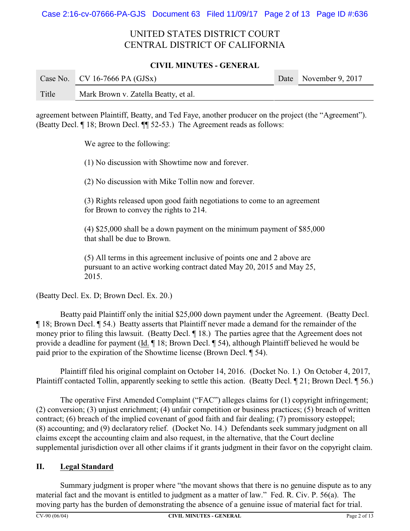### **CIVIL MINUTES - GENERAL**

|       | Case No.   CV 16-7666 PA (GJSx)      | Date November 9, 2017 |
|-------|--------------------------------------|-----------------------|
| Title | Mark Brown v. Zatella Beatty, et al. |                       |

agreement between Plaintiff, Beatty, and Ted Faye, another producer on the project (the "Agreement"). (Beatty Decl. ¶ 18; Brown Decl. ¶¶ 52-53.) The Agreement reads as follows:

We agree to the following:

(1) No discussion with Showtime now and forever.

(2) No discussion with Mike Tollin now and forever.

(3) Rights released upon good faith negotiations to come to an agreement for Brown to convey the rights to 214.

(4) \$25,000 shall be a down payment on the minimum payment of \$85,000 that shall be due to Brown.

(5) All terms in this agreement inclusive of points one and 2 above are pursuant to an active working contract dated May 20, 2015 and May 25, 2015.

(Beatty Decl. Ex. D; Brown Decl. Ex. 20.)

Beatty paid Plaintiff only the initial \$25,000 down payment under the Agreement. (Beatty Decl. ¶ 18; Brown Decl. ¶ 54.) Beatty asserts that Plaintiff never made a demand for the remainder of the money prior to filing this lawsuit. (Beatty Decl. ¶ 18.) The parties agree that the Agreement does not provide a deadline for payment (Id. ¶ 18; Brown Decl. ¶ 54), although Plaintiff believed he would be paid prior to the expiration of the Showtime license (Brown Decl. ¶ 54).

Plaintiff filed his original complaint on October 14, 2016. (Docket No. 1.) On October 4, 2017, Plaintiff contacted Tollin, apparently seeking to settle this action. (Beatty Decl. ¶ 21; Brown Decl. ¶ 56.)

The operative First Amended Complaint ("FAC") alleges claims for (1) copyright infringement; (2) conversion; (3) unjust enrichment; (4) unfair competition or business practices; (5) breach of written contract; (6) breach of the implied covenant of good faith and fair dealing; (7) promissory estoppel; (8) accounting; and (9) declaratory relief. (Docket No. 14.) Defendants seek summary judgment on all claims except the accounting claim and also request, in the alternative, that the Court decline supplemental jurisdiction over all other claims if it grants judgment in their favor on the copyright claim.

## **II. Legal Standard**

Summary judgment is proper where "the movant shows that there is no genuine dispute as to any material fact and the movant is entitled to judgment as a matter of law." Fed. R. Civ. P. 56(a). The moving party has the burden of demonstrating the absence of a genuine issue of material fact for trial.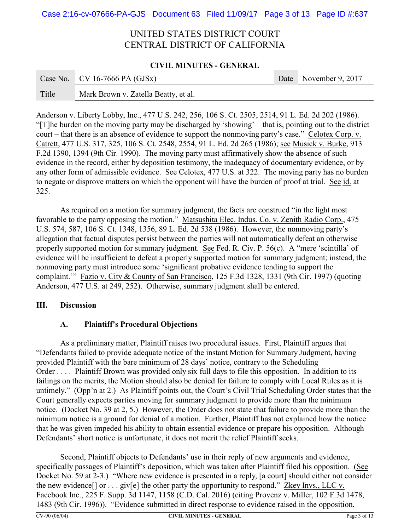#### **CIVIL MINUTES - GENERAL**

**Contract Contract** 

|       | Case No.   CV 16-7666 PA (GJSx)      | Date November 9, 2017 |
|-------|--------------------------------------|-----------------------|
| Title | Mark Brown v. Zatella Beatty, et al. |                       |

Anderson v. Liberty Lobby, Inc., 477 U.S. 242, 256, 106 S. Ct. 2505, 2514, 91 L. Ed. 2d 202 (1986). "[T]he burden on the moving party may be discharged by 'showing' – that is, pointing out to the district court – that there is an absence of evidence to support the nonmoving party's case." Celotex Corp. v. Catrett, 477 U.S. 317, 325, 106 S. Ct. 2548, 2554, 91 L. Ed. 2d 265 (1986); see Musick v. Burke, 913 F.2d 1390, 1394 (9th Cir. 1990). The moving party must affirmatively show the absence of such evidence in the record, either by deposition testimony, the inadequacy of documentary evidence, or by any other form of admissible evidence. See Celotex, 477 U.S. at 322. The moving party has no burden to negate or disprove matters on which the opponent will have the burden of proof at trial. See id. at 325.

As required on a motion for summary judgment, the facts are construed "in the light most favorable to the party opposing the motion." Matsushita Elec. Indus. Co. v. Zenith Radio Corp., 475 U.S. 574, 587, 106 S. Ct. 1348, 1356, 89 L. Ed. 2d 538 (1986). However, the nonmoving party's allegation that factual disputes persist between the parties will not automatically defeat an otherwise properly supported motion for summary judgment. See Fed. R. Civ. P. 56(c). A "mere 'scintilla' of evidence will be insufficient to defeat a properly supported motion for summary judgment; instead, the nonmoving party must introduce some 'significant probative evidence tending to support the complaint.'" Fazio v. City & County of San Francisco, 125 F.3d 1328, 1331 (9th Cir. 1997) (quoting Anderson, 477 U.S. at 249, 252). Otherwise, summary judgment shall be entered.

### **III. Discussion**

## **A. Plaintiff's Procedural Objections**

As a preliminary matter, Plaintiff raises two procedural issues. First, Plaintiff argues that "Defendants failed to provide adequate notice of the instant Motion for Summary Judgment, having provided Plaintiff with the bare minimum of 28 days' notice, contrary to the Scheduling Order . . . . Plaintiff Brown was provided only six full days to file this opposition. In addition to its failings on the merits, the Motion should also be denied for failure to comply with Local Rules as it is untimely." (Opp'n at 2.) As Plaintiff points out, the Court's Civil Trial Scheduling Order states that the Court generally expects parties moving for summary judgment to provide more than the minimum notice. (Docket No. 39 at 2, 5.) However, the Order does not state that failure to provide more than the minimum notice is a ground for denial of a motion. Further, Plaintiff has not explained how the notice that he was given impeded his ability to obtain essential evidence or prepare his opposition. Although Defendants' short notice is unfortunate, it does not merit the relief Plaintiff seeks.

Second, Plaintiff objects to Defendants' use in their reply of new arguments and evidence, specifically passages of Plaintiff's deposition, which was taken after Plaintiff filed his opposition. (See Docket No. 59 at 2-3.) "Where new evidence is presented in a reply, [a court] should either not consider the new evidence<sup>[]</sup> or . . . giv[e] the other party the opportunity to respond." Zkey Invs., LLC v. Facebook Inc., 225 F. Supp. 3d 1147, 1158 (C.D. Cal. 2016) (citing Provenz v. Miller, 102 F.3d 1478, 1483 (9th Cir. 1996)). "Evidence submitted in direct response to evidence raised in the opposition,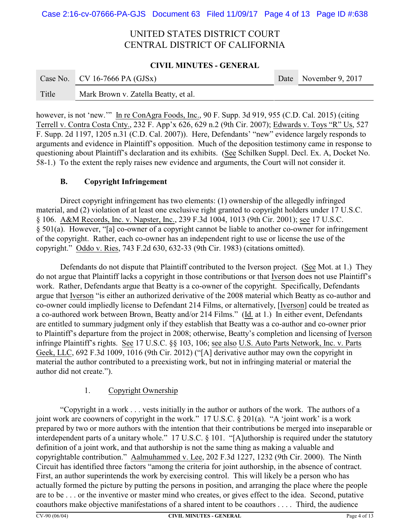#### **CIVIL MINUTES - GENERAL**

|       | Case No. $\vert$ CV 16-7666 PA (GJSx) | Date November 9, 2017 |
|-------|---------------------------------------|-----------------------|
| Title | Mark Brown v. Zatella Beatty, et al.  |                       |

however, is not 'new.'" In re ConAgra Foods, Inc., 90 F. Supp. 3d 919, 955 (C.D. Cal. 2015) (citing Terrell v. Contra Costa Cnty., 232 F. App'x 626, 629 n.2 (9th Cir. 2007); Edwards v. Toys "R" Us, 527 F. Supp. 2d 1197, 1205 n.31 (C.D. Cal. 2007)). Here, Defendants' "new" evidence largely responds to arguments and evidence in Plaintiff's opposition. Much of the deposition testimony came in response to questioning about Plaintiff's declaration and its exhibits. (See Schilken Suppl. Decl. Ex. A, Docket No. 58-1.) To the extent the reply raises new evidence and arguments, the Court will not consider it.

### **B. Copyright Infringement**

Direct copyright infringement has two elements: (1) ownership of the allegedly infringed material, and (2) violation of at least one exclusive right granted to copyright holders under 17 U.S.C. § 106. A&M Records, Inc. v. Napster, Inc., 239 F.3d 1004, 1013 (9th Cir. 2001); see 17 U.S.C. § 501(a). However, "[a] co-owner of a copyright cannot be liable to another co-owner for infringement of the copyright. Rather, each co-owner has an independent right to use or license the use of the copyright." Oddo v. Ries, 743 F.2d 630, 632-33 (9th Cir. 1983) (citations omitted).

Defendants do not dispute that Plaintiff contributed to the Iverson project. (See Mot. at 1.) They do not argue that Plaintiff lacks a copyright in those contributions or that Iverson does not use Plaintiff's work. Rather, Defendants argue that Beatty is a co-owner of the copyright. Specifically, Defendants argue that Iverson "is either an authorized derivative of the 2008 material which Beatty as co-author and co-owner could impliedly license to Defendant 214 Films, or alternatively, [Iverson] could be treated as a co-authored work between Brown, Beatty and/or 214 Films." (Id. at 1.) In either event, Defendants are entitled to summary judgment only if they establish that Beatty was a co-author and co-owner prior to Plaintiff's departure from the project in 2008; otherwise, Beatty's completion and licensing of Iverson infringe Plaintiff's rights. See 17 U.S.C. §§ 103, 106; see also U.S. Auto Parts Network, Inc. v. Parts Geek, LLC, 692 F.3d 1009, 1016 (9th Cir. 2012) ("[A] derivative author may own the copyright in material the author contributed to a preexisting work, but not in infringing material or material the author did not create.").

## 1. Copyright Ownership

"Copyright in a work . . . vests initially in the author or authors of the work. The authors of a joint work are coowners of copyright in the work." 17 U.S.C. § 201(a). "A 'joint work' is a work prepared by two or more authors with the intention that their contributions be merged into inseparable or interdependent parts of a unitary whole." 17 U.S.C. § 101. "[A]uthorship is required under the statutory definition of a joint work, and that authorship is not the same thing as making a valuable and copyrightable contribution." Aalmuhammed v. Lee, 202 F.3d 1227, 1232 (9th Cir. 2000). The Ninth Circuit has identified three factors "among the criteria for joint authorship, in the absence of contract. First, an author superintends the work by exercising control. This will likely be a person who has actually formed the picture by putting the persons in position, and arranging the place where the people are to be . . . or the inventive or master mind who creates, or gives effect to the idea. Second, putative coauthors make objective manifestations of a shared intent to be coauthors . . . . Third, the audience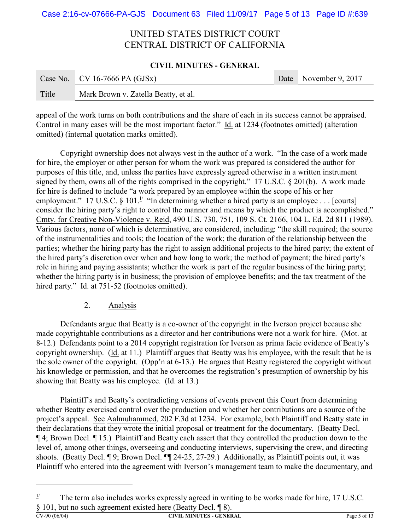#### **CIVIL MINUTES - GENERAL**

|       | Case No. CV 16-7666 PA (GJSx)        | Date November 9, 2017 |
|-------|--------------------------------------|-----------------------|
| Title | Mark Brown v. Zatella Beatty, et al. |                       |

appeal of the work turns on both contributions and the share of each in its success cannot be appraised. Control in many cases will be the most important factor." Id. at 1234 (footnotes omitted) (alteration omitted) (internal quotation marks omitted).

Copyright ownership does not always vest in the author of a work. "In the case of a work made for hire, the employer or other person for whom the work was prepared is considered the author for purposes of this title, and, unless the parties have expressly agreed otherwise in a written instrument signed by them, owns all of the rights comprised in the copyright." 17 U.S.C. § 201(b). A work made for hire is defined to include "a work prepared by an employee within the scope of his or her employment." 17 U.S.C. § 101.<sup>1/</sup> "In determining whether a hired party is an employee . . . [courts] consider the hiring party's right to control the manner and means by which the product is accomplished." Cmty. for Creative Non-Violence v. Reid, 490 U.S. 730, 751, 109 S. Ct. 2166, 104 L. Ed. 2d 811 (1989). Various factors, none of which is determinative, are considered, including: "the skill required; the source of the instrumentalities and tools; the location of the work; the duration of the relationship between the parties; whether the hiring party has the right to assign additional projects to the hired party; the extent of the hired party's discretion over when and how long to work; the method of payment; the hired party's role in hiring and paying assistants; whether the work is part of the regular business of the hiring party; whether the hiring party is in business; the provision of employee benefits; and the tax treatment of the hired party." Id. at 751-52 (footnotes omitted).

### 2. Analysis

Defendants argue that Beatty is a co-owner of the copyright in the Iverson project because she made copyrightable contributions as a director and her contributions were not a work for hire. (Mot. at 8-12.) Defendants point to a 2014 copyright registration for Iverson as prima facie evidence of Beatty's copyright ownership. (Id. at 11.) Plaintiff argues that Beatty was his employee, with the result that he is the sole owner of the copyright. (Opp'n at 6-13.) He argues that Beatty registered the copyright without his knowledge or permission, and that he overcomes the registration's presumption of ownership by his showing that Beatty was his employee. (Id. at 13.)

Plaintiff's and Beatty's contradicting versions of events prevent this Court from determining whether Beatty exercised control over the production and whether her contributions are a source of the project's appeal. See Aalmuhammed, 202 F.3d at 1234. For example, both Plaintiff and Beatty state in their declarations that they wrote the initial proposal or treatment for the documentary. (Beatty Decl. ¶ 4; Brown Decl. ¶ 15.) Plaintiff and Beatty each assert that they controlled the production down to the level of, among other things, overseeing and conducting interviews, supervising the crew, and directing shoots. (Beatty Decl. ¶ 9; Brown Decl. ¶ 24-25, 27-29.) Additionally, as Plaintiff points out, it was Plaintiff who entered into the agreement with Iverson's management team to make the documentary, and

 $1/$  The term also includes works expressly agreed in writing to be works made for hire, 17 U.S.C. § 101, but no such agreement existed here (Beatty Decl. ¶ 8).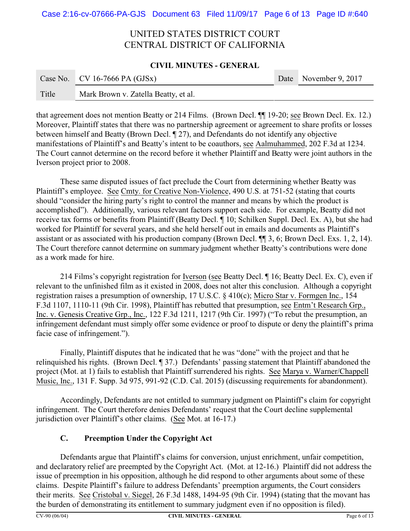#### **CIVIL MINUTES - GENERAL**

|       | Case No. $\vert$ CV 16-7666 PA (GJSx) | Date November 9, 2017 |
|-------|---------------------------------------|-----------------------|
| Title | Mark Brown v. Zatella Beatty, et al.  |                       |

that agreement does not mention Beatty or 214 Films. (Brown Decl. ¶¶ 19-20; see Brown Decl. Ex. 12.) Moreover, Plaintiff states that there was no partnership agreement or agreement to share profits or losses between himself and Beatty (Brown Decl. ¶ 27), and Defendants do not identify any objective manifestations of Plaintiff's and Beatty's intent to be coauthors, see Aalmuhammed, 202 F.3d at 1234. The Court cannot determine on the record before it whether Plaintiff and Beatty were joint authors in the Iverson project prior to 2008.

These same disputed issues of fact preclude the Court from determining whether Beatty was Plaintiff's employee. See Cmty. for Creative Non-Violence, 490 U.S. at 751-52 (stating that courts should "consider the hiring party's right to control the manner and means by which the product is accomplished"). Additionally, various relevant factors support each side. For example, Beatty did not receive tax forms or benefits from Plaintiff (Beatty Decl. ¶ 10; Schilken Suppl. Decl. Ex. A), but she had worked for Plaintiff for several years, and she held herself out in emails and documents as Plaintiff's assistant or as associated with his production company (Brown Decl. ¶¶ 3, 6; Brown Decl. Exs. 1, 2, 14). The Court therefore cannot determine on summary judgment whether Beatty's contributions were done as a work made for hire.

214 Films's copyright registration for Iverson (see Beatty Decl. ¶ 16; Beatty Decl. Ex. C), even if relevant to the unfinished film as it existed in 2008, does not alter this conclusion. Although a copyright registration raises a presumption of ownership, 17 U.S.C. § 410(c); Micro Star v. Formgen Inc., 154 F.3d 1107, 1110-11 (9th Cir. 1998), Plaintiff has rebutted that presumption, see Entm't Research Grp., Inc. v. Genesis Creative Grp., Inc., 122 F.3d 1211, 1217 (9th Cir. 1997) ("To rebut the presumption, an infringement defendant must simply offer some evidence or proof to dispute or deny the plaintiff's prima facie case of infringement.").

Finally, Plaintiff disputes that he indicated that he was "done" with the project and that he relinquished his rights. (Brown Decl. ¶ 37.) Defendants' passing statement that Plaintiff abandoned the project (Mot. at 1) fails to establish that Plaintiff surrendered his rights. See Marya v. Warner/Chappell Music, Inc., 131 F. Supp. 3d 975, 991-92 (C.D. Cal. 2015) (discussing requirements for abandonment).

Accordingly, Defendants are not entitled to summary judgment on Plaintiff's claim for copyright infringement. The Court therefore denies Defendants' request that the Court decline supplemental jurisdiction over Plaintiff's other claims. (See Mot. at 16-17.)

## **C. Preemption Under the Copyright Act**

Defendants argue that Plaintiff's claims for conversion, unjust enrichment, unfair competition, and declaratory relief are preempted by the Copyright Act. (Mot. at 12-16.) Plaintiff did not address the issue of preemption in his opposition, although he did respond to other arguments about some of these claims. Despite Plaintiff's failure to address Defendants' preemption arguments, the Court considers their merits. See Cristobal v. Siegel, 26 F.3d 1488, 1494-95 (9th Cir. 1994) (stating that the movant has the burden of demonstrating its entitlement to summary judgment even if no opposition is filed).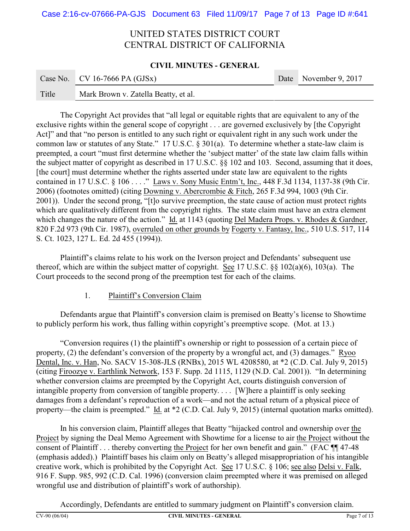### **CIVIL MINUTES - GENERAL**

|       | Case No.   CV 16-7666 PA (GJSx)      | Date November 9, 2017 |
|-------|--------------------------------------|-----------------------|
| Title | Mark Brown v. Zatella Beatty, et al. |                       |

The Copyright Act provides that "all legal or equitable rights that are equivalent to any of the exclusive rights within the general scope of copyright . . . are governed exclusively by [the Copyright Act]" and that "no person is entitled to any such right or equivalent right in any such work under the common law or statutes of any State." 17 U.S.C. § 301(a). To determine whether a state-law claim is preempted, a court "must first determine whether the 'subject matter' of the state law claim falls within the subject matter of copyright as described in 17 U.S.C. §§ 102 and 103. Second, assuming that it does, [the court] must determine whether the rights asserted under state law are equivalent to the rights contained in 17 U.S.C. § 106 . . . ." Laws v. Sony Music Entm't, Inc., 448 F.3d 1134, 1137-38 (9th Cir. 2006) (footnotes omitted) (citing Downing v. Abercrombie & Fitch, 265 F.3d 994, 1003 (9th Cir. 2001)). Under the second prong, "[t]o survive preemption, the state cause of action must protect rights which are qualitatively different from the copyright rights. The state claim must have an extra element which changes the nature of the action." Id. at 1143 (quoting Del Madera Props. v. Rhodes & Gardner, 820 F.2d 973 (9th Cir. 1987), overruled on other grounds by Fogerty v. Fantasy, Inc., 510 U.S. 517, 114 S. Ct. 1023, 127 L. Ed. 2d 455 (1994)).

Plaintiff's claims relate to his work on the Iverson project and Defendants' subsequent use thereof, which are within the subject matter of copyright. See 17 U.S.C. §§ 102(a)(6), 103(a). The Court proceeds to the second prong of the preemption test for each of the claims.

1. Plaintiff's Conversion Claim

Defendants argue that Plaintiff's conversion claim is premised on Beatty's license to Showtime to publicly perform his work, thus falling within copyright's preemptive scope. (Mot. at 13.)

"Conversion requires (1) the plaintiff's ownership or right to possession of a certain piece of property, (2) the defendant's conversion of the property by a wrongful act, and (3) damages." Ryoo Dental, Inc. v. Han, No. SACV 15-308-JLS (RNBx), 2015 WL 4208580, at \*2 (C.D. Cal. July 9, 2015) (citing Firoozye v. Earthlink Network, 153 F. Supp. 2d 1115, 1129 (N.D. Cal. 2001)). "In determining whether conversion claims are preempted by the Copyright Act, courts distinguish conversion of intangible property from conversion of tangible property. . . . [W]here a plaintiff is only seeking damages from a defendant's reproduction of a work—and not the actual return of a physical piece of property—the claim is preempted." Id. at \*2 (C.D. Cal. July 9, 2015) (internal quotation marks omitted).

In his conversion claim, Plaintiff alleges that Beatty "hijacked control and ownership over the Project by signing the Deal Memo Agreement with Showtime for a license to air the Project without the consent of Plaintiff . . . thereby converting the Project for her own benefit and gain." (FAC ¶¶ 47-48 (emphasis added).) Plaintiff bases his claim only on Beatty's alleged misappropriation of his intangible creative work, which is prohibited by the Copyright Act. See 17 U.S.C. § 106; see also Delsi v. Falk, 916 F. Supp. 985, 992 (C.D. Cal. 1996) (conversion claim preempted where it was premised on alleged wrongful use and distribution of plaintiff's work of authorship).

Accordingly, Defendants are entitled to summary judgment on Plaintiff's conversion claim.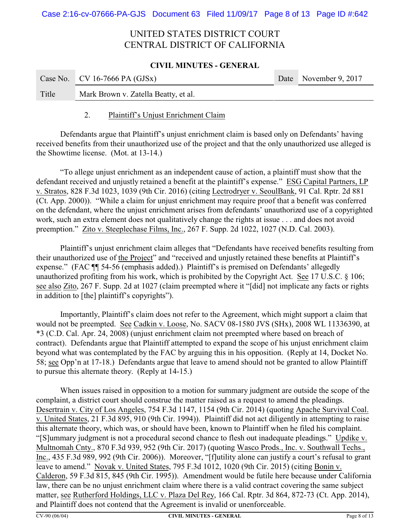#### **CIVIL MINUTES - GENERAL**

|       | Case No. CV 16-7666 PA $(GJSx)$      | Date November 9, 2017 |
|-------|--------------------------------------|-----------------------|
| Title | Mark Brown v. Zatella Beatty, et al. |                       |

### 2. Plaintiff's Unjust Enrichment Claim

Defendants argue that Plaintiff's unjust enrichment claim is based only on Defendants' having received benefits from their unauthorized use of the project and that the only unauthorized use alleged is the Showtime license. (Mot. at 13-14.)

"To allege unjust enrichment as an independent cause of action, a plaintiff must show that the defendant received and unjustly retained a benefit at the plaintiff's expense." ESG Capital Partners, LP v. Stratos, 828 F.3d 1023, 1039 (9th Cir. 2016) (citing Lectrodryer v. SeoulBank, 91 Cal. Rptr. 2d 881 (Ct. App. 2000)). "While a claim for unjust enrichment may require proof that a benefit was conferred on the defendant, where the unjust enrichment arises from defendants' unauthorized use of a copyrighted work, such an extra element does not qualitatively change the rights at issue . . . and does not avoid preemption." Zito v. Steeplechase Films, Inc., 267 F. Supp. 2d 1022, 1027 (N.D. Cal. 2003).

Plaintiff's unjust enrichment claim alleges that "Defendants have received benefits resulting from their unauthorized use of the Project" and "received and unjustly retained these benefits at Plaintiff's expense." (FAC ¶¶ 54-56 (emphasis added).) Plaintiff's is premised on Defendants' allegedly unauthorized profiting from his work, which is prohibited by the Copyright Act. See 17 U.S.C. § 106; see also Zito, 267 F. Supp. 2d at 1027 (claim preempted where it "[did] not implicate any facts or rights in addition to [the] plaintiff's copyrights").

Importantly, Plaintiff's claim does not refer to the Agreement, which might support a claim that would not be preempted. See Cadkin v. Loose, No. SACV 08-1580 JVS (SHx), 2008 WL 11336390, at \*3 (C.D. Cal. Apr. 24, 2008) (unjust enrichment claim not preempted where based on breach of contract). Defendants argue that Plaintiff attempted to expand the scope of his unjust enrichment claim beyond what was contemplated by the FAC by arguing this in his opposition. (Reply at 14, Docket No. 58; see Opp'n at 17-18.) Defendants argue that leave to amend should not be granted to allow Plaintiff to pursue this alternate theory. (Reply at 14-15.)

When issues raised in opposition to a motion for summary judgment are outside the scope of the complaint, a district court should construe the matter raised as a request to amend the pleadings. Desertrain v. City of Los Angeles, 754 F.3d 1147, 1154 (9th Cir. 2014) (quoting Apache Survival Coal. v. United States, 21 F.3d 895, 910 (9th Cir. 1994)). Plaintiff did not act diligently in attempting to raise this alternate theory, which was, or should have been, known to Plaintiff when he filed his complaint. "[S]ummary judgment is not a procedural second chance to flesh out inadequate pleadings." Updike v. Multnomah Cnty., 870 F.3d 939, 952 (9th Cir. 2017) (quoting Wasco Prods., Inc. v. Southwall Techs., Inc., 435 F.3d 989, 992 (9th Cir. 2006)). Moreover, "[f]utility alone can justify a court's refusal to grant leave to amend." Novak v. United States, 795 F.3d 1012, 1020 (9th Cir. 2015) (citing Bonin v. Calderon, 59 F.3d 815, 845 (9th Cir. 1995)). Amendment would be futile here because under California law, there can be no unjust enrichment claim where there is a valid contract covering the same subject matter, see Rutherford Holdings, LLC v. Plaza Del Rey, 166 Cal. Rptr. 3d 864, 872-73 (Ct. App. 2014), and Plaintiff does not contend that the Agreement is invalid or unenforceable.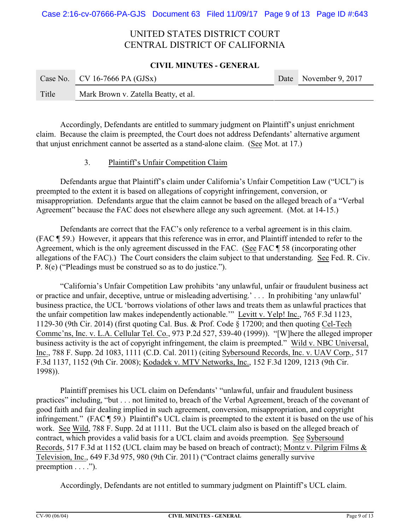#### **CIVIL MINUTES - GENERAL**

|       | Case No. CV 16-7666 PA $(GJSx)$      | Date November 9, 2017 |
|-------|--------------------------------------|-----------------------|
| Title | Mark Brown v. Zatella Beatty, et al. |                       |

Accordingly, Defendants are entitled to summary judgment on Plaintiff's unjust enrichment claim. Because the claim is preempted, the Court does not address Defendants' alternative argument that unjust enrichment cannot be asserted as a stand-alone claim. (See Mot. at 17.)

### 3. Plaintiff's Unfair Competition Claim

Defendants argue that Plaintiff's claim under California's Unfair Competition Law ("UCL") is preempted to the extent it is based on allegations of copyright infringement, conversion, or misappropriation. Defendants argue that the claim cannot be based on the alleged breach of a "Verbal Agreement" because the FAC does not elsewhere allege any such agreement. (Mot. at 14-15.)

Defendants are correct that the FAC's only reference to a verbal agreement is in this claim. (FAC ¶ 59.) However, it appears that this reference was in error, and Plaintiff intended to refer to the Agreement, which is the only agreement discussed in the FAC. (See FAC ¶ 58 (incorporating other allegations of the FAC).) The Court considers the claim subject to that understanding. See Fed. R. Civ. P. 8(e) ("Pleadings must be construed so as to do justice.").

"California's Unfair Competition Law prohibits 'any unlawful, unfair or fraudulent business act or practice and unfair, deceptive, untrue or misleading advertising.' . . . In prohibiting 'any unlawful' business practice, the UCL 'borrows violations of other laws and treats them as unlawful practices that the unfair competition law makes independently actionable.'" Levitt v. Yelp! Inc., 765 F.3d 1123, 1129-30 (9th Cir. 2014) (first quoting Cal. Bus. & Prof. Code § 17200; and then quoting Cel-Tech Commc'ns, Inc. v. L.A. Cellular Tel. Co., 973 P.2d 527, 539-40 (1999)). "[W]here the alleged improper business activity is the act of copyright infringement, the claim is preempted." Wild v. NBC Universal, Inc., 788 F. Supp. 2d 1083, 1111 (C.D. Cal. 2011) (citing Sybersound Records, Inc. v. UAV Corp., 517 F.3d 1137, 1152 (9th Cir. 2008); Kodadek v. MTV Networks, Inc., 152 F.3d 1209, 1213 (9th Cir. 1998)).

Plaintiff premises his UCL claim on Defendants' "unlawful, unfair and fraudulent business practices" including, "but . . . not limited to, breach of the Verbal Agreement, breach of the covenant of good faith and fair dealing implied in such agreement, conversion, misappropriation, and copyright infringement." (FAC ¶ 59.) Plaintiff's UCL claim is preempted to the extent it is based on the use of his work. See Wild, 788 F. Supp. 2d at 1111. But the UCL claim also is based on the alleged breach of contract, which provides a valid basis for a UCL claim and avoids preemption. See Sybersound Records, 517 F.3d at 1152 (UCL claim may be based on breach of contract); Montz v. Pilgrim Films & Television, Inc., 649 F.3d 975, 980 (9th Cir. 2011) ("Contract claims generally survive preemption  $\dots$ .").

Accordingly, Defendants are not entitled to summary judgment on Plaintiff's UCL claim.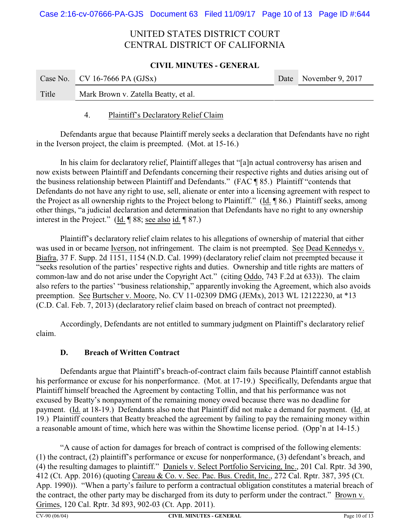#### **CIVIL MINUTES - GENERAL**

|       | Case No.   CV 16-7666 PA (GJSx)      | Date November 9, 2017 |
|-------|--------------------------------------|-----------------------|
| Title | Mark Brown v. Zatella Beatty, et al. |                       |

### 4. Plaintiff's Declaratory Relief Claim

Defendants argue that because Plaintiff merely seeks a declaration that Defendants have no right in the Iverson project, the claim is preempted. (Mot. at 15-16.)

In his claim for declaratory relief, Plaintiff alleges that "[a]n actual controversy has arisen and now exists between Plaintiff and Defendants concerning their respective rights and duties arising out of the business relationship between Plaintiff and Defendants." (FAC ¶ 85.) Plaintiff "contends that Defendants do not have any right to use, sell, alienate or enter into a licensing agreement with respect to the Project as all ownership rights to the Project belong to Plaintiff." (Id. ¶ 86.) Plaintiff seeks, among other things, "a judicial declaration and determination that Defendants have no right to any ownership interest in the Project." (Id. ¶ 88; see also id. ¶ 87.)

Plaintiff's declaratory relief claim relates to his allegations of ownership of material that either was used in or became Iverson, not infringement. The claim is not preempted. See Dead Kennedys v. Biafra, 37 F. Supp. 2d 1151, 1154 (N.D. Cal. 1999) (declaratory relief claim not preempted because it "seeks resolution of the parties' respective rights and duties. Ownership and title rights are matters of common-law and do not arise under the Copyright Act." (citing Oddo, 743 F.2d at 633)). The claim also refers to the parties' "business relationship," apparently invoking the Agreement, which also avoids preemption. See Burtscher v. Moore, No. CV 11-02309 DMG (JEMx), 2013 WL 12122230, at \*13 (C.D. Cal. Feb. 7, 2013) (declaratory relief claim based on breach of contract not preempted).

Accordingly, Defendants are not entitled to summary judgment on Plaintiff's declaratory relief claim.

## **D. Breach of Written Contract**

Defendants argue that Plaintiff's breach-of-contract claim fails because Plaintiff cannot establish his performance or excuse for his nonperformance. (Mot. at 17-19.) Specifically, Defendants argue that Plaintiff himself breached the Agreement by contacting Tollin, and that his performance was not excused by Beatty's nonpayment of the remaining money owed because there was no deadline for payment. (Id. at 18-19.) Defendants also note that Plaintiff did not make a demand for payment. (Id. at 19.) Plaintiff counters that Beatty breached the agreement by failing to pay the remaining money within a reasonable amount of time, which here was within the Showtime license period. (Opp'n at 14-15.)

"A cause of action for damages for breach of contract is comprised of the following elements: (1) the contract, (2) plaintiff's performance or excuse for nonperformance, (3) defendant's breach, and (4) the resulting damages to plaintiff." Daniels v. Select Portfolio Servicing, Inc., 201 Cal. Rptr. 3d 390, 412 (Ct. App. 2016) (quoting Careau & Co. v. Sec. Pac. Bus. Credit, Inc., 272 Cal. Rptr. 387, 395 (Ct. App. 1990)). "When a party's failure to perform a contractual obligation constitutes a material breach of the contract, the other party may be discharged from its duty to perform under the contract." Brown v. Grimes, 120 Cal. Rptr. 3d 893, 902-03 (Ct. App. 2011).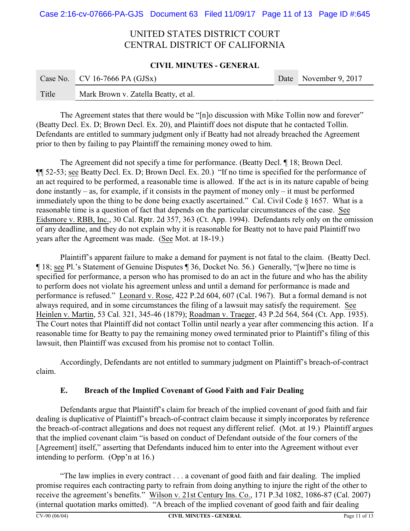#### **CIVIL MINUTES - GENERAL**

|       | Case No.   CV 16-7666 PA (GJSx)      | Date November 9, 2017 |
|-------|--------------------------------------|-----------------------|
| Title | Mark Brown v. Zatella Beatty, et al. |                       |

The Agreement states that there would be "[n]o discussion with Mike Tollin now and forever" (Beatty Decl. Ex. D; Brown Decl. Ex. 20), and Plaintiff does not dispute that he contacted Tollin. Defendants are entitled to summary judgment only if Beatty had not already breached the Agreement prior to then by failing to pay Plaintiff the remaining money owed to him.

The Agreement did not specify a time for performance. (Beatty Decl. ¶ 18; Brown Decl. ¶¶ 52-53; see Beatty Decl. Ex. D; Brown Decl. Ex. 20.) "If no time is specified for the performance of an act required to be performed, a reasonable time is allowed. If the act is in its nature capable of being done instantly – as, for example, if it consists in the payment of money only – it must be performed immediately upon the thing to be done being exactly ascertained." Cal. Civil Code § 1657. What is a reasonable time is a question of fact that depends on the particular circumstances of the case. See Eidsmore v. RBB, Inc., 30 Cal. Rptr. 2d 357, 363 (Ct. App. 1994). Defendants rely only on the omission of any deadline, and they do not explain why it is reasonable for Beatty not to have paid Plaintiff two years after the Agreement was made. (See Mot. at 18-19.)

Plaintiff's apparent failure to make a demand for payment is not fatal to the claim. (Beatty Decl. ¶ 18; see Pl.'s Statement of Genuine Disputes ¶ 36, Docket No. 56.) Generally, "[w]here no time is specified for performance, a person who has promised to do an act in the future and who has the ability to perform does not violate his agreement unless and until a demand for performance is made and performance is refused." Leonard v. Rose, 422 P.2d 604, 607 (Cal. 1967). But a formal demand is not always required, and in some circumstances the filing of a lawsuit may satisfy the requirement. See Heinlen v. Martin, 53 Cal. 321, 345-46 (1879); Roadman v. Traeger, 43 P.2d 564, 564 (Ct. App. 1935). The Court notes that Plaintiff did not contact Tollin until nearly a year after commencing this action. If a reasonable time for Beatty to pay the remaining money owed terminated prior to Plaintiff's filing of this lawsuit, then Plaintiff was excused from his promise not to contact Tollin.

Accordingly, Defendants are not entitled to summary judgment on Plaintiff's breach-of-contract claim.

## **E. Breach of the Implied Covenant of Good Faith and Fair Dealing**

Defendants argue that Plaintiff's claim for breach of the implied covenant of good faith and fair dealing is duplicative of Plaintiff's breach-of-contract claim because it simply incorporates by reference the breach-of-contract allegations and does not request any different relief. (Mot. at 19.) Plaintiff argues that the implied covenant claim "is based on conduct of Defendant outside of the four corners of the [Agreement] itself," asserting that Defendants induced him to enter into the Agreement without ever intending to perform. (Opp'n at 16.)

"The law implies in every contract . . . a covenant of good faith and fair dealing. The implied promise requires each contracting party to refrain from doing anything to injure the right of the other to receive the agreement's benefits." Wilson v. 21st Century Ins. Co., 171 P.3d 1082, 1086-87 (Cal. 2007) (internal quotation marks omitted). "A breach of the implied covenant of good faith and fair dealing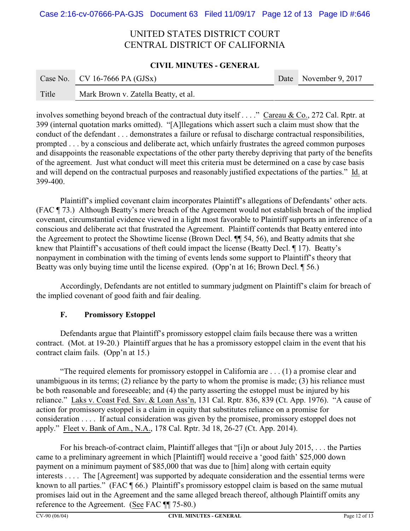#### **CIVIL MINUTES - GENERAL**

|       | Case No. CV 16-7666 PA (GJSx)        | Date November 9, 2017 |
|-------|--------------------------------------|-----------------------|
| Title | Mark Brown v. Zatella Beatty, et al. |                       |

involves something beyond breach of the contractual duty itself . . . ." Careau & Co., 272 Cal. Rptr. at 399 (internal quotation marks omitted). "[A]llegations which assert such a claim must show that the conduct of the defendant . . . demonstrates a failure or refusal to discharge contractual responsibilities, prompted . . . by a conscious and deliberate act, which unfairly frustrates the agreed common purposes and disappoints the reasonable expectations of the other party thereby depriving that party of the benefits of the agreement. Just what conduct will meet this criteria must be determined on a case by case basis and will depend on the contractual purposes and reasonably justified expectations of the parties." Id. at 399-400.

Plaintiff's implied covenant claim incorporates Plaintiff's allegations of Defendants' other acts. (FAC ¶ 73.) Although Beatty's mere breach of the Agreement would not establish breach of the implied covenant, circumstantial evidence viewed in a light most favorable to Plaintiff supports an inference of a conscious and deliberate act that frustrated the Agreement. Plaintiff contends that Beatty entered into the Agreement to protect the Showtime license (Brown Decl. ¶¶ 54, 56), and Beatty admits that she knew that Plaintiff's accusations of theft could impact the license (Beatty Decl. ¶ 17). Beatty's nonpayment in combination with the timing of events lends some support to Plaintiff's theory that Beatty was only buying time until the license expired. (Opp'n at 16; Brown Decl. [ 56.)

Accordingly, Defendants are not entitled to summary judgment on Plaintiff's claim for breach of the implied covenant of good faith and fair dealing.

## **F. Promissory Estoppel**

Defendants argue that Plaintiff's promissory estoppel claim fails because there was a written contract. (Mot. at 19-20.) Plaintiff argues that he has a promissory estoppel claim in the event that his contract claim fails. (Opp'n at 15.)

"The required elements for promissory estoppel in California are . . . (1) a promise clear and unambiguous in its terms; (2) reliance by the party to whom the promise is made; (3) his reliance must be both reasonable and foreseeable; and (4) the party asserting the estoppel must be injured by his reliance." Laks v. Coast Fed. Sav. & Loan Ass'n, 131 Cal. Rptr. 836, 839 (Ct. App. 1976). "A cause of action for promissory estoppel is a claim in equity that substitutes reliance on a promise for consideration . . . . If actual consideration was given by the promisee, promissory estoppel does not apply." Fleet v. Bank of Am., N.A., 178 Cal. Rptr. 3d 18, 26-27 (Ct. App. 2014).

For his breach-of-contract claim, Plaintiff alleges that "[i]n or about July 2015, . . . the Parties came to a preliminary agreement in which [Plaintiff] would receive a 'good faith' \$25,000 down payment on a minimum payment of \$85,000 that was due to [him] along with certain equity interests . . . . The [Agreement] was supported by adequate consideration and the essential terms were known to all parties." (FAC ¶ 66.) Plaintiff's promissory estoppel claim is based on the same mutual promises laid out in the Agreement and the same alleged breach thereof, although Plaintiff omits any reference to the Agreement. (See FAC ¶¶ 75-80.)